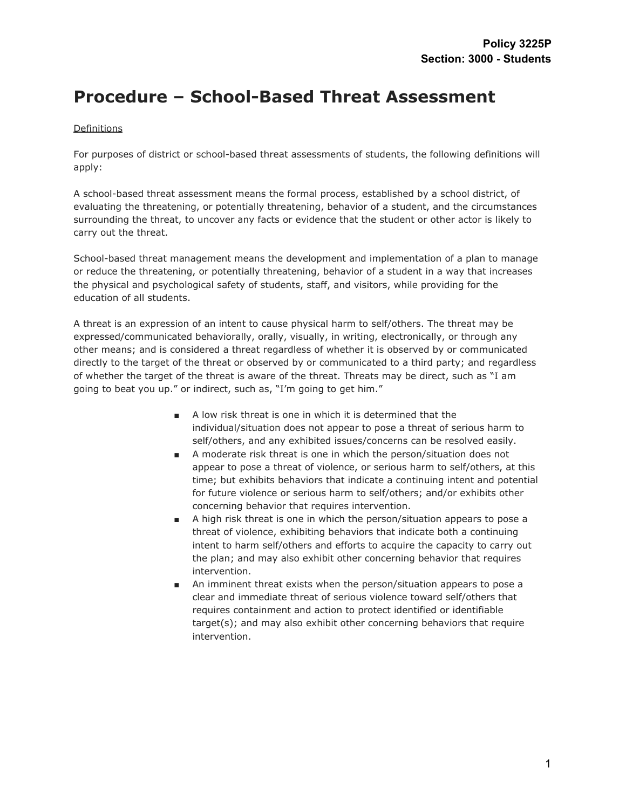# **Procedure – School-Based Threat Assessment**

#### **Definitions**

For purposes of district or school-based threat assessments of students, the following definitions will apply:

A school-based threat assessment means the formal process, established by a school district, of evaluating the threatening, or potentially threatening, behavior of a student, and the circumstances surrounding the threat, to uncover any facts or evidence that the student or other actor is likely to carry out the threat.

School-based threat management means the development and implementation of a plan to manage or reduce the threatening, or potentially threatening, behavior of a student in a way that increases the physical and psychological safety of students, staff, and visitors, while providing for the education of all students.

A threat is an expression of an intent to cause physical harm to self/others. The threat may be expressed/communicated behaviorally, orally, visually, in writing, electronically, or through any other means; and is considered a threat regardless of whether it is observed by or communicated directly to the target of the threat or observed by or communicated to a third party; and regardless of whether the target of the threat is aware of the threat. Threats may be direct, such as "I am going to beat you up." or indirect, such as, "I'm going to get him."

- A low risk threat is one in which it is determined that the individual/situation does not appear to pose a threat of serious harm to self/others, and any exhibited issues/concerns can be resolved easily.
- A moderate risk threat is one in which the person/situation does not appear to pose a threat of violence, or serious harm to self/others, at this time; but exhibits behaviors that indicate a continuing intent and potential for future violence or serious harm to self/others; and/or exhibits other concerning behavior that requires intervention.
- A high risk threat is one in which the person/situation appears to pose a threat of violence, exhibiting behaviors that indicate both a continuing intent to harm self/others and efforts to acquire the capacity to carry out the plan; and may also exhibit other concerning behavior that requires intervention.
- An imminent threat exists when the person/situation appears to pose a clear and immediate threat of serious violence toward self/others that requires containment and action to protect identified or identifiable target(s); and may also exhibit other concerning behaviors that require intervention.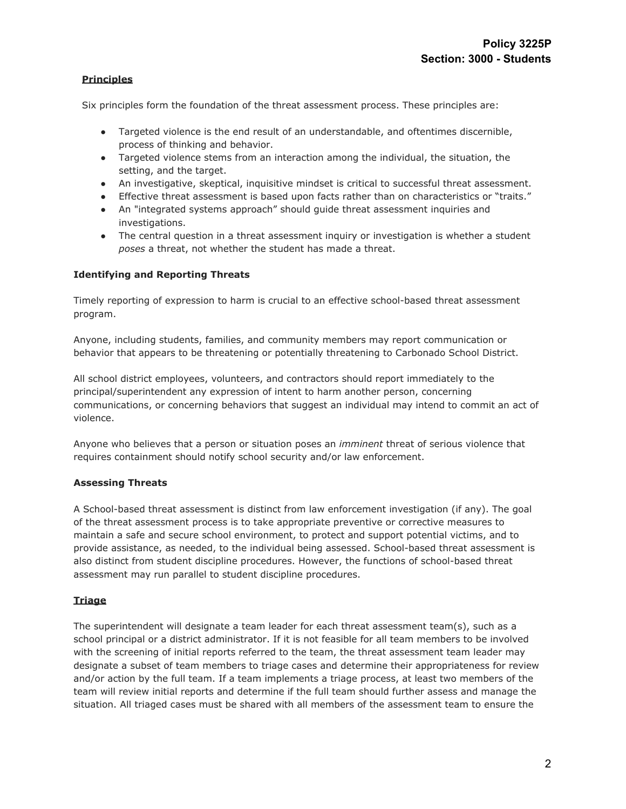## **Principles**

Six principles form the foundation of the threat assessment process. These principles are:

- Targeted violence is the end result of an understandable, and oftentimes discernible, process of thinking and behavior.
- Targeted violence stems from an interaction among the individual, the situation, the setting, and the target.
- An investigative, skeptical, inquisitive mindset is critical to successful threat assessment.
- Effective threat assessment is based upon facts rather than on characteristics or "traits."
- An "integrated systems approach" should guide threat assessment inquiries and investigations.
- The central question in a threat assessment inquiry or investigation is whether a student *poses* a threat, not whether the student has made a threat.

## **Identifying and Reporting Threats**

Timely reporting of expression to harm is crucial to an effective school-based threat assessment program.

Anyone, including students, families, and community members may report communication or behavior that appears to be threatening or potentially threatening to Carbonado School District.

All school district employees, volunteers, and contractors should report immediately to the principal/superintendent any expression of intent to harm another person, concerning communications, or concerning behaviors that suggest an individual may intend to commit an act of violence.

Anyone who believes that a person or situation poses an *imminent* threat of serious violence that requires containment should notify school security and/or law enforcement.

## **Assessing Threats**

A School-based threat assessment is distinct from law enforcement investigation (if any). The goal of the threat assessment process is to take appropriate preventive or corrective measures to maintain a safe and secure school environment, to protect and support potential victims, and to provide assistance, as needed, to the individual being assessed. School-based threat assessment is also distinct from student discipline procedures. However, the functions of school-based threat assessment may run parallel to student discipline procedures.

## **Triage**

The superintendent will designate a team leader for each threat assessment team(s), such as a school principal or a district administrator. If it is not feasible for all team members to be involved with the screening of initial reports referred to the team, the threat assessment team leader may designate a subset of team members to triage cases and determine their appropriateness for review and/or action by the full team. If a team implements a triage process, at least two members of the team will review initial reports and determine if the full team should further assess and manage the situation. All triaged cases must be shared with all members of the assessment team to ensure the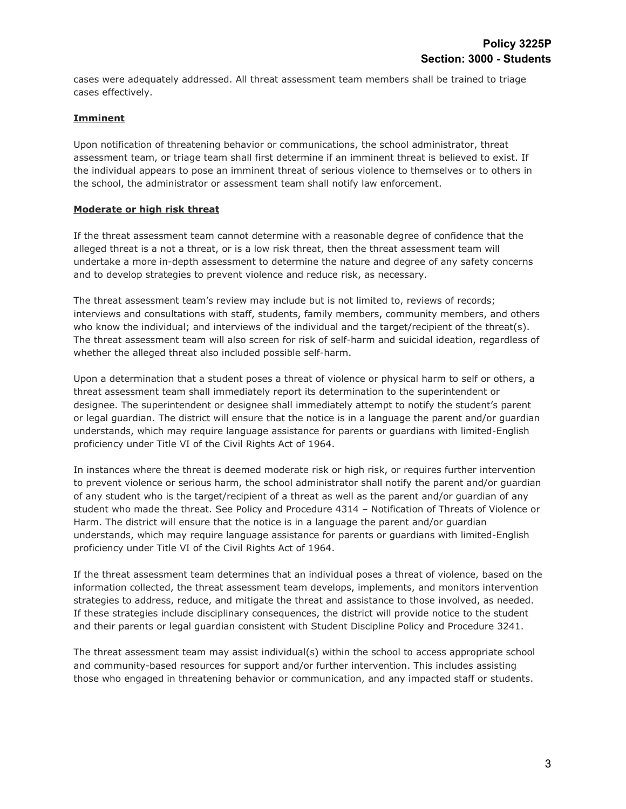cases were adequately addressed. All threat assessment team members shall be trained to triage cases effectively.

## **Imminent**

Upon notification of threatening behavior or communications, the school administrator, threat assessment team, or triage team shall first determine if an imminent threat is believed to exist. If the individual appears to pose an imminent threat of serious violence to themselves or to others in the school, the administrator or assessment team shall notify law enforcement.

#### **Moderate or high risk threat**

If the threat assessment team cannot determine with a reasonable degree of confidence that the alleged threat is a not a threat, or is a low risk threat, then the threat assessment team will undertake a more in-depth assessment to determine the nature and degree of any safety concerns and to develop strategies to prevent violence and reduce risk, as necessary.

The threat assessment team's review may include but is not limited to, reviews of records; interviews and consultations with staff, students, family members, community members, and others who know the individual; and interviews of the individual and the target/recipient of the threat(s). The threat assessment team will also screen for risk of self-harm and suicidal ideation, regardless of whether the alleged threat also included possible self-harm.

Upon a determination that a student poses a threat of violence or physical harm to self or others, a threat assessment team shall immediately report its determination to the superintendent or designee. The superintendent or designee shall immediately attempt to notify the student's parent or legal guardian. The district will ensure that the notice is in a language the parent and/or guardian understands, which may require language assistance for parents or guardians with limited-English proficiency under Title VI of the Civil Rights Act of 1964.

In instances where the threat is deemed moderate risk or high risk, or requires further intervention to prevent violence or serious harm, the school administrator shall notify the parent and/or guardian of any student who is the target/recipient of a threat as well as the parent and/or guardian of any student who made the threat. See Policy and Procedure 4314 – Notification of Threats of Violence or Harm. The district will ensure that the notice is in a language the parent and/or guardian understands, which may require language assistance for parents or guardians with limited-English proficiency under Title VI of the Civil Rights Act of 1964.

If the threat assessment team determines that an individual poses a threat of violence, based on the information collected, the threat assessment team develops, implements, and monitors intervention strategies to address, reduce, and mitigate the threat and assistance to those involved, as needed. If these strategies include disciplinary consequences, the district will provide notice to the student and their parents or legal guardian consistent with Student Discipline Policy and Procedure 3241.

The threat assessment team may assist individual(s) within the school to access appropriate school and community-based resources for support and/or further intervention. This includes assisting those who engaged in threatening behavior or communication, and any impacted staff or students.